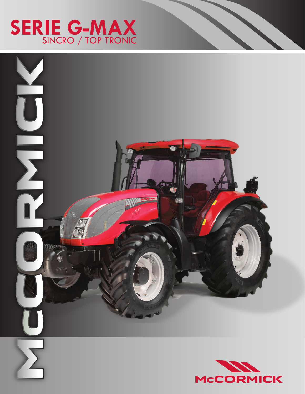